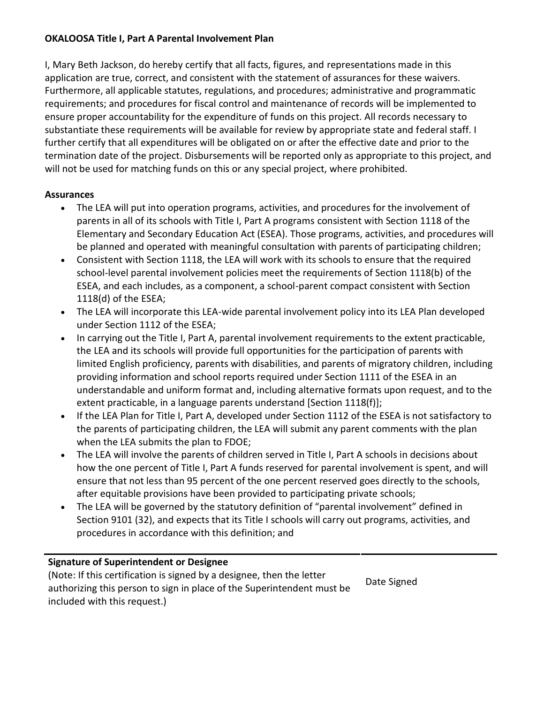# **OKALOOSA Title I, Part A Parental Involvement Plan**

I, Mary Beth Jackson, do hereby certify that all facts, figures, and representations made in this application are true, correct, and consistent with the statement of assurances for these waivers. Furthermore, all applicable statutes, regulations, and procedures; administrative and programmatic requirements; and procedures for fiscal control and maintenance of records will be implemented to ensure proper accountability for the expenditure of funds on this project. All records necessary to substantiate these requirements will be available for review by appropriate state and federal staff. I further certify that all expenditures will be obligated on or after the effective date and prior to the termination date of the project. Disbursements will be reported only as appropriate to this project, and will not be used for matching funds on this or any special project, where prohibited.

# **Assurances**

- The LEA will put into operation programs, activities, and procedures for the involvement of parents in all of its schools with Title I, Part A programs consistent with Section 1118 of the Elementary and Secondary Education Act (ESEA). Those programs, activities, and procedures will be planned and operated with meaningful consultation with parents of participating children;
- Consistent with Section 1118, the LEA will work with its schools to ensure that the required school-level parental involvement policies meet the requirements of Section 1118(b) of the ESEA, and each includes, as a component, a school-parent compact consistent with Section 1118(d) of the ESEA;
- The LEA will incorporate this LEA-wide parental involvement policy into its LEA Plan developed under Section 1112 of the ESEA;
- In carrying out the Title I, Part A, parental involvement requirements to the extent practicable, the LEA and its schools will provide full opportunities for the participation of parents with limited English proficiency, parents with disabilities, and parents of migratory children, including providing information and school reports required under Section 1111 of the ESEA in an understandable and uniform format and, including alternative formats upon request, and to the extent practicable, in a language parents understand [Section 1118(f)];
- If the LEA Plan for Title I, Part A, developed under Section 1112 of the ESEA is not satisfactory to the parents of participating children, the LEA will submit any parent comments with the plan when the LEA submits the plan to FDOE;
- The LEA will involve the parents of children served in Title I, Part A schools in decisions about how the one percent of Title I, Part A funds reserved for parental involvement is spent, and will ensure that not less than 95 percent of the one percent reserved goes directly to the schools, after equitable provisions have been provided to participating private schools;
- The LEA will be governed by the statutory definition of "parental involvement" defined in Section 9101 (32), and expects that its Title I schools will carry out programs, activities, and procedures in accordance with this definition; and

# **Signature of Superintendent or Designee**

(Note: If this certification is signed by a designee, then the letter authorizing this person to sign in place of the Superintendent must be included with this request.) Date Signed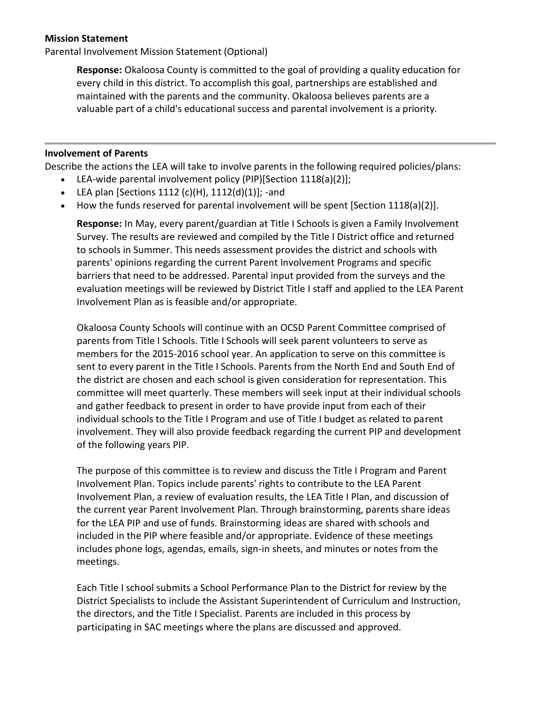#### **Mission Statement**

Parental Involvement Mission Statement (Optional)

**Response:** Okaloosa County is committed to the goal of providing a quality education for every child in this district. To accomplish this goal, partnerships are established and maintained with the parents and the community. Okaloosa believes parents are a valuable part of a child's educational success and parental involvement is a priority.

#### **Involvement of Parents**

Describe the actions the LEA will take to involve parents in the following required policies/plans:

- LEA-wide parental involvement policy (PIP)[Section 1118(a)(2)];
- LEA plan [Sections 1112 (c)(H),  $1112(d)(1)$ ]; -and
- How the funds reserved for parental involvement will be spent [Section 1118(a)(2)].

**Response:** In May, every parent/guardian at Title I Schools is given a Family Involvement Survey. The results are reviewed and compiled by the Title I District office and returned to schools in Summer. This needs assessment provides the district and schools with parents' opinions regarding the current Parent Involvement Programs and specific barriers that need to be addressed. Parental input provided from the surveys and the evaluation meetings will be reviewed by District Title I staff and applied to the LEA Parent Involvement Plan as is feasible and/or appropriate.

Okaloosa County Schools will continue with an OCSD Parent Committee comprised of parents from Title I Schools. Title I Schools will seek parent volunteers to serve as members for the 2015-2016 school year. An application to serve on this committee is sent to every parent in the Title I Schools. Parents from the North End and South End of the district are chosen and each school is given consideration for representation. This committee will meet quarterly. These members will seek input at their individual schools and gather feedback to present in order to have provide input from each of their individual schools to the Title I Program and use of Title I budget as related to parent involvement. They will also provide feedback regarding the current PIP and development of the following years PIP.

The purpose of this committee is to review and discuss the Title I Program and Parent Involvement Plan. Topics include parents' rights to contribute to the LEA Parent Involvement Plan, a review of evaluation results, the LEA Title I Plan, and discussion of the current year Parent Involvement Plan. Through brainstorming, parents share ideas for the LEA PIP and use of funds. Brainstorming ideas are shared with schools and included in the PIP where feasible and/or appropriate. Evidence of these meetings includes phone logs, agendas, emails, sign-in sheets, and minutes or notes from the meetings.

Each Title I school submits a School Performance Plan to the District for review by the District Specialists to include the Assistant Superintendent of Curriculum and Instruction, the directors, and the Title I Specialist. Parents are included in this process by participating in SAC meetings where the plans are discussed and approved.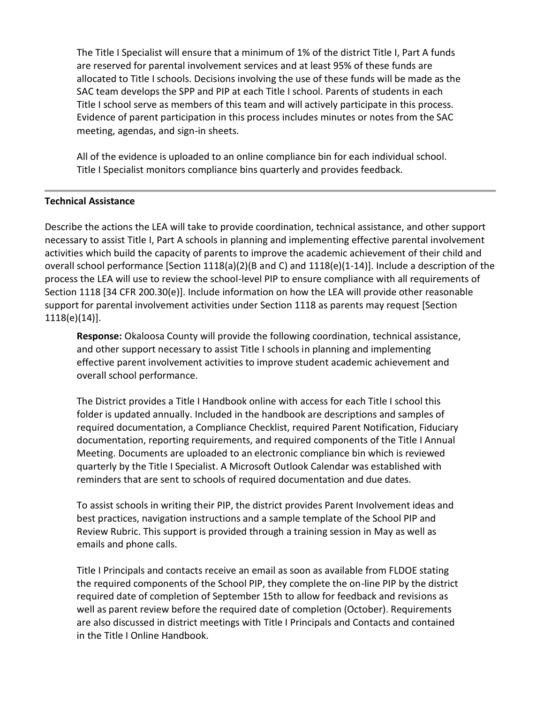The Title I Specialist will ensure that a minimum of 1% of the district Title I, Part A funds are reserved for parental involvement services and at least 95% of these funds are allocated to Title I schools. Decisions involving the use of these funds will be made as the SAC team develops the SPP and PIP at each Title I school. Parents of students in each Title I school serve as members of this team and will actively participate in this process. Evidence of parent participation in this process includes minutes or notes from the SAC meeting, agendas, and sign-in sheets.

All of the evidence is uploaded to an online compliance bin for each individual school. Title I Specialist monitors compliance bins quarterly and provides feedback.

### **Technical Assistance**

Describe the actions the LEA will take to provide coordination, technical assistance, and other support necessary to assist Title I, Part A schools in planning and implementing effective parental involvement activities which build the capacity of parents to improve the academic achievement of their child and overall school performance [Section 1118(a)(2)(B and C) and 1118(e)(1-14)]. Include a description of the process the LEA will use to review the school-level PIP to ensure compliance with all requirements of Section 1118 [34 CFR 200.30(e)]. Include information on how the LEA will provide other reasonable support for parental involvement activities under Section 1118 as parents may request [Section 1118(e)(14)].

**Response:** Okaloosa County will provide the following coordination, technical assistance, and other support necessary to assist Title I schools in planning and implementing effective parent involvement activities to improve student academic achievement and overall school performance.

The District provides a Title I Handbook online with access for each Title I school this folder is updated annually. Included in the handbook are descriptions and samples of required documentation, a Compliance Checklist, required Parent Notification, Fiduciary documentation, reporting requirements, and required components of the Title I Annual Meeting. Documents are uploaded to an electronic compliance bin which is reviewed quarterly by the Title I Specialist. A Microsoft Outlook Calendar was established with reminders that are sent to schools of required documentation and due dates.

To assist schools in writing their PIP, the district provides Parent Involvement ideas and best practices, navigation instructions and a sample template of the School PIP and Review Rubric. This support is provided through a training session in May as well as emails and phone calls.

Title I Principals and contacts receive an email as soon as available from FLDOE stating the required components of the School PIP, they complete the on-line PIP by the district required date of completion of September 15th to allow for feedback and revisions as well as parent review before the required date of completion (October). Requirements are also discussed in district meetings with Title I Principals and Contacts and contained in the Title I Online Handbook.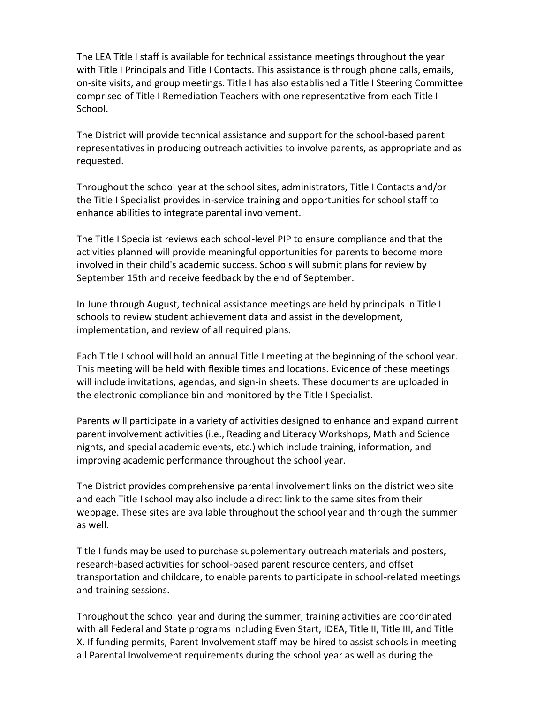The LEA Title I staff is available for technical assistance meetings throughout the year with Title I Principals and Title I Contacts. This assistance is through phone calls, emails, on-site visits, and group meetings. Title I has also established a Title I Steering Committee comprised of Title I Remediation Teachers with one representative from each Title I School.

The District will provide technical assistance and support for the school-based parent representatives in producing outreach activities to involve parents, as appropriate and as requested.

Throughout the school year at the school sites, administrators, Title I Contacts and/or the Title I Specialist provides in-service training and opportunities for school staff to enhance abilities to integrate parental involvement.

The Title I Specialist reviews each school-level PIP to ensure compliance and that the activities planned will provide meaningful opportunities for parents to become more involved in their child's academic success. Schools will submit plans for review by September 15th and receive feedback by the end of September.

In June through August, technical assistance meetings are held by principals in Title I schools to review student achievement data and assist in the development, implementation, and review of all required plans.

Each Title I school will hold an annual Title I meeting at the beginning of the school year. This meeting will be held with flexible times and locations. Evidence of these meetings will include invitations, agendas, and sign-in sheets. These documents are uploaded in the electronic compliance bin and monitored by the Title I Specialist.

Parents will participate in a variety of activities designed to enhance and expand current parent involvement activities (i.e., Reading and Literacy Workshops, Math and Science nights, and special academic events, etc.) which include training, information, and improving academic performance throughout the school year.

The District provides comprehensive parental involvement links on the district web site and each Title I school may also include a direct link to the same sites from their webpage. These sites are available throughout the school year and through the summer as well.

Title I funds may be used to purchase supplementary outreach materials and posters, research-based activities for school-based parent resource centers, and offset transportation and childcare, to enable parents to participate in school-related meetings and training sessions.

Throughout the school year and during the summer, training activities are coordinated with all Federal and State programs including Even Start, IDEA, Title II, Title III, and Title X. If funding permits, Parent Involvement staff may be hired to assist schools in meeting all Parental Involvement requirements during the school year as well as during the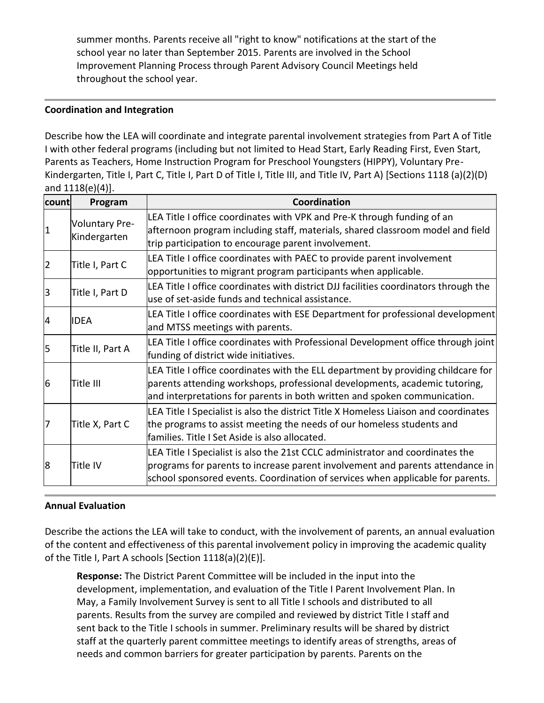summer months. Parents receive all "right to know" notifications at the start of the school year no later than September 2015. Parents are involved in the School Improvement Planning Process through Parent Advisory Council Meetings held throughout the school year.

### **Coordination and Integration**

Describe how the LEA will coordinate and integrate parental involvement strategies from Part A of Title I with other federal programs (including but not limited to Head Start, Early Reading First, Even Start, Parents as Teachers, Home Instruction Program for Preschool Youngsters (HIPPY), Voluntary Pre-Kindergarten, Title I, Part C, Title I, Part D of Title I, Title III, and Title IV, Part A) [Sections 1118 (a)(2)(D) and 1118(e)(4)].

| count          | Program                               | Coordination                                                                                                                                                                                                                                      |
|----------------|---------------------------------------|---------------------------------------------------------------------------------------------------------------------------------------------------------------------------------------------------------------------------------------------------|
| $\mathbf 1$    | <b>Voluntary Pre-</b><br>Kindergarten | LEA Title I office coordinates with VPK and Pre-K through funding of an<br>afternoon program including staff, materials, shared classroom model and field<br>trip participation to encourage parent involvement.                                  |
| $\overline{2}$ | Title I, Part C                       | LEA Title I office coordinates with PAEC to provide parent involvement<br>opportunities to migrant program participants when applicable.                                                                                                          |
| 3              | Title I, Part D                       | LEA Title I office coordinates with district DJJ facilities coordinators through the<br>use of set-aside funds and technical assistance.                                                                                                          |
| 4              | IIDEA                                 | LEA Title I office coordinates with ESE Department for professional development<br>and MTSS meetings with parents.                                                                                                                                |
| 5              | Title II, Part A                      | LEA Title I office coordinates with Professional Development office through joint<br>funding of district wide initiatives.                                                                                                                        |
| 6              | Title III                             | LEA Title I office coordinates with the ELL department by providing childcare for<br>parents attending workshops, professional developments, academic tutoring,<br>and interpretations for parents in both written and spoken communication.      |
| 7              | Title X, Part C                       | LEA Title I Specialist is also the district Title X Homeless Liaison and coordinates<br>the programs to assist meeting the needs of our homeless students and<br>families. Title I Set Aside is also allocated.                                   |
| 8              | Title IV                              | LEA Title I Specialist is also the 21st CCLC administrator and coordinates the<br>programs for parents to increase parent involvement and parents attendance in<br>school sponsored events. Coordination of services when applicable for parents. |

# **Annual Evaluation**

Describe the actions the LEA will take to conduct, with the involvement of parents, an annual evaluation of the content and effectiveness of this parental involvement policy in improving the academic quality of the Title I, Part A schools [Section 1118(a)(2)(E)].

**Response:** The District Parent Committee will be included in the input into the development, implementation, and evaluation of the Title I Parent Involvement Plan. In May, a Family Involvement Survey is sent to all Title I schools and distributed to all parents. Results from the survey are compiled and reviewed by district Title I staff and sent back to the Title I schools in summer. Preliminary results will be shared by district staff at the quarterly parent committee meetings to identify areas of strengths, areas of needs and common barriers for greater participation by parents. Parents on the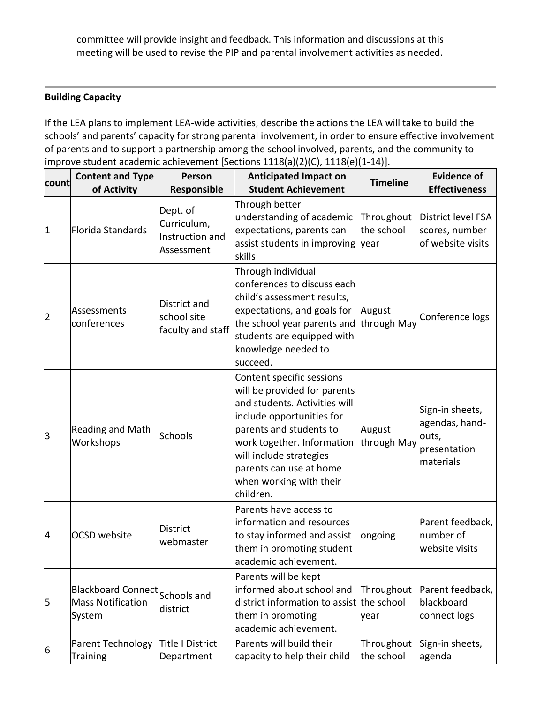committee will provide insight and feedback. This information and discussions at this meeting will be used to revise the PIP and parental involvement activities as needed.

### **Building Capacity**

If the LEA plans to implement LEA-wide activities, describe the actions the LEA will take to build the schools' and parents' capacity for strong parental involvement, in order to ensure effective involvement of parents and to support a partnership among the school involved, parents, and the community to improve student academic achievement [Sections 1118(a)(2)(C), 1118(e)(1-14)].

| count          | <b>Content and Type</b><br>of Activity                               | Person<br>Responsible                                    | <b>Anticipated Impact on</b><br><b>Student Achievement</b>                                                                                                                                                                                                                     | <b>Timeline</b>          | <b>Evidence of</b><br><b>Effectiveness</b>                              |
|----------------|----------------------------------------------------------------------|----------------------------------------------------------|--------------------------------------------------------------------------------------------------------------------------------------------------------------------------------------------------------------------------------------------------------------------------------|--------------------------|-------------------------------------------------------------------------|
| $\vert$ 1      | Florida Standards                                                    | Dept. of<br>Curriculum,<br>Instruction and<br>Assessment | Through better<br>understanding of academic<br>expectations, parents can<br>assist students in improving year<br>skills                                                                                                                                                        | Throughout<br>the school | District level FSA<br>scores, number<br>of website visits               |
| $\overline{2}$ | Assessments<br>conferences                                           | District and<br>school site<br>faculty and staff         | Through individual<br>conferences to discuss each<br>child's assessment results,<br>expectations, and goals for<br>the school year parents and<br>students are equipped with<br>knowledge needed to<br>succeed.                                                                | August<br>through May    | Conference logs                                                         |
| 3              | <b>Reading and Math</b><br>Workshops                                 | Schools                                                  | Content specific sessions<br>will be provided for parents<br>and students. Activities will<br>include opportunities for<br>parents and students to<br>work together. Information<br>will include strategies<br>parents can use at home<br>when working with their<br>children. | August<br>through May    | Sign-in sheets,<br>agendas, hand-<br>outs,<br>presentation<br>materials |
| 4              | <b>OCSD</b> website                                                  | <b>District</b><br>webmaster                             | Parents have access to<br>information and resources<br>to stay informed and assist<br>them in promoting student<br>academic achievement.                                                                                                                                       | ongoing                  | Parent feedback,<br>number of<br>website visits                         |
| 5              | Blackboard Connect Schools and<br><b>Mass Notification</b><br>System | district                                                 | Parents will be kept<br>informed about school and<br>district information to assist the school<br>them in promoting<br>academic achievement.                                                                                                                                   | Throughout<br>year       | Parent feedback,<br>blackboard<br>connect logs                          |
| 6              | Parent Technology<br><b>Training</b>                                 | <b>Title I District</b><br>Department                    | Parents will build their<br>capacity to help their child                                                                                                                                                                                                                       | Throughout<br>the school | Sign-in sheets,<br>agenda                                               |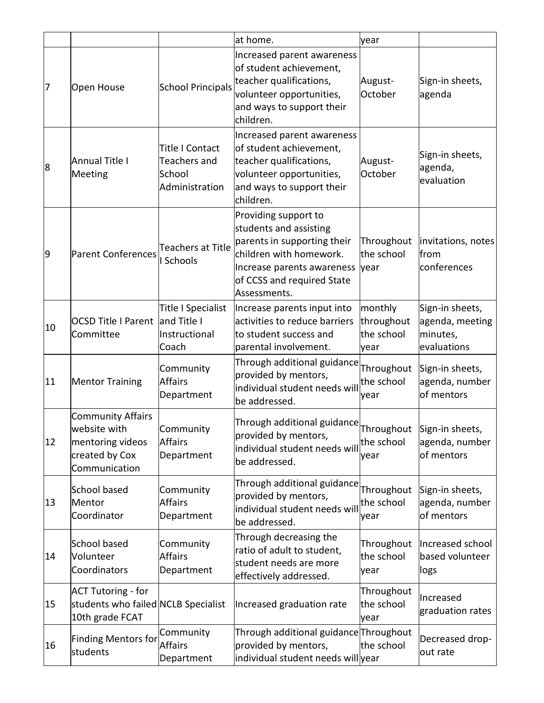|    |                                                                                                 |                                                                           | at home.                                                                                                                                                                                  | year                                        |                                                               |
|----|-------------------------------------------------------------------------------------------------|---------------------------------------------------------------------------|-------------------------------------------------------------------------------------------------------------------------------------------------------------------------------------------|---------------------------------------------|---------------------------------------------------------------|
| 7  | Open House                                                                                      | <b>School Principals</b>                                                  | Increased parent awareness<br>of student achievement,<br>teacher qualifications,<br>volunteer opportunities,<br>and ways to support their<br>children.                                    | August-<br>October                          | Sign-in sheets,<br>agenda                                     |
| 8  | Annual Title I<br>Meeting                                                                       | <b>Title I Contact</b><br><b>Teachers and</b><br>School<br>Administration | Increased parent awareness<br>of student achievement,<br>teacher qualifications,<br>volunteer opportunities,<br>and ways to support their<br>children.                                    | August-<br>October                          | Sign-in sheets,<br>agenda,<br>evaluation                      |
| 9  | Parent Conferences                                                                              | Teachers at Title<br>Schools                                              | Providing support to<br>students and assisting<br>parents in supporting their<br>children with homework.<br>Increase parents awareness year<br>of CCSS and required State<br>Assessments. | Throughout<br>the school                    | invitations, notes<br>from<br>conferences                     |
| 10 | <b>OCSD Title I Parent</b><br>Committee                                                         | <b>Title I Specialist</b><br>and Title I<br>Instructional<br>Coach        | Increase parents input into<br>activities to reduce barriers<br>to student success and<br>parental involvement.                                                                           | monthly<br>throughout<br>the school<br>year | Sign-in sheets,<br>agenda, meeting<br>minutes,<br>evaluations |
| 11 | <b>Mentor Training</b>                                                                          | Community<br><b>Affairs</b><br>Department                                 | Through additional guidance<br>provided by mentors,<br>individual student needs will<br>be addressed.                                                                                     | Throughout<br>the school<br>year            | Sign-in sheets,<br>agenda, number<br>of mentors               |
| 12 | <b>Community Affairs</b><br>website with<br>mentoring videos<br>created by Cox<br>Communication | Community<br><b>Affairs</b><br>Department                                 | Through additional guidance $\vert$ Throughout $\vert$ Sign-in sheets,<br>individual student needs will<br>be addressed.                                                                  | the school<br>year                          | agenda, number<br>of mentors                                  |
| 13 | School based<br>Mentor<br>Coordinator                                                           | Community<br><b>Affairs</b><br>Department                                 | Through additional guidance<br>provided by mentors,<br>individual student needs will<br>be addressed.                                                                                     | Throughout<br>the school<br>year            | Sign-in sheets,<br>agenda, number<br>of mentors               |
| 14 | School based<br>Volunteer<br>Coordinators                                                       | Community<br><b>Affairs</b><br>Department                                 | Through decreasing the<br>ratio of adult to student,<br>student needs are more<br>effectively addressed.                                                                                  | Throughout<br>the school<br>year            | Increased school<br>based volunteer<br>logs                   |
| 15 | <b>ACT Tutoring - for</b><br>students who failed NCLB Specialist<br>10th grade FCAT             |                                                                           | Increased graduation rate                                                                                                                                                                 | Throughout<br>the school<br>year            | Increased<br>graduation rates                                 |
| 16 | <b>Finding Mentors for</b><br>students                                                          | Community<br><b>Affairs</b><br>Department                                 | Through additional guidance Throughout<br>provided by mentors,<br>individual student needs will year                                                                                      | the school                                  | Decreased drop-<br>out rate                                   |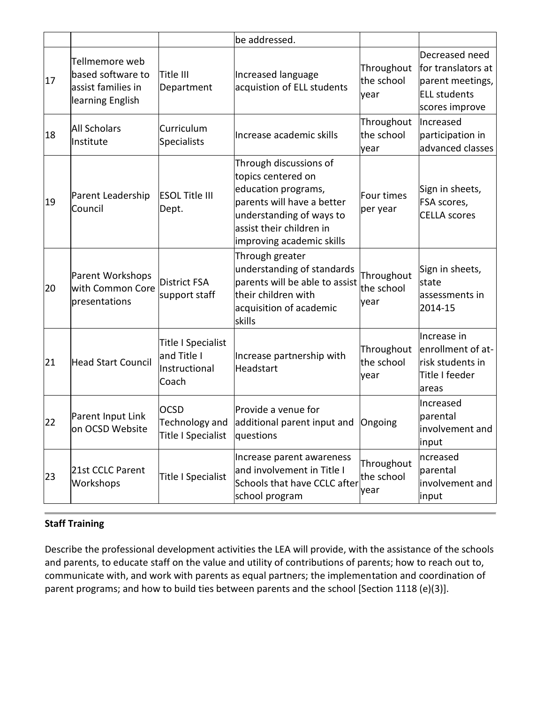|    |                                                                               |                                                                    | be addressed.                                                                                                                                                                          |                                  |                                                                                                   |
|----|-------------------------------------------------------------------------------|--------------------------------------------------------------------|----------------------------------------------------------------------------------------------------------------------------------------------------------------------------------------|----------------------------------|---------------------------------------------------------------------------------------------------|
| 17 | Tellmemore web<br>based software to<br>assist families in<br>learning English | Title III<br>Department                                            | Increased language<br>acquistion of ELL students                                                                                                                                       | Throughout<br>the school<br>year | Decreased need<br>for translators at<br>parent meetings,<br><b>ELL students</b><br>scores improve |
| 18 | <b>All Scholars</b><br>Institute                                              | Curriculum<br><b>Specialists</b>                                   | Increase academic skills                                                                                                                                                               | Throughout<br>the school<br>year | Increased<br>participation in<br>advanced classes                                                 |
| 19 | Parent Leadership<br>Council                                                  | <b>ESOL Title III</b><br>Dept.                                     | Through discussions of<br>topics centered on<br>education programs,<br>parents will have a better<br>understanding of ways to<br>assist their children in<br>improving academic skills | Four times<br>per year           | Sign in sheets,<br>FSA scores,<br><b>CELLA</b> scores                                             |
| 20 | Parent Workshops<br>with Common Core<br>presentations                         | <b>District FSA</b><br>support staff                               | Through greater<br>understanding of standards<br>parents will be able to assist<br>their children with<br>acquisition of academic<br>skills                                            | Throughout<br>the school<br>year | Sign in sheets,<br>state<br>assessments in<br>2014-15                                             |
| 21 | <b>Head Start Council</b>                                                     | <b>Title I Specialist</b><br>and Title I<br>Instructional<br>Coach | Increase partnership with<br>Headstart                                                                                                                                                 | Throughout<br>the school<br>year | Increase in<br>enrollment of at-<br>risk students in<br>Title I feeder<br>areas                   |
| 22 | Parent Input Link<br>on OCSD Website                                          | <b>OCSD</b><br>Technology and<br>Title I Specialist                | Provide a venue for<br>additional parent input and<br>questions                                                                                                                        | Ongoing                          | Increased<br>parental<br>involvement and<br>input                                                 |
| 23 | 21st CCLC Parent<br>Workshops                                                 | Title I Specialist                                                 | Increase parent awareness<br>and involvement in Title I<br>Schools that have CCLC after<br>school program                                                                              | Throughout<br>the school<br>year | ncreased<br>parental<br>involvement and<br>input                                                  |

# **Staff Training**

Describe the professional development activities the LEA will provide, with the assistance of the schools and parents, to educate staff on the value and utility of contributions of parents; how to reach out to, communicate with, and work with parents as equal partners; the implementation and coordination of parent programs; and how to build ties between parents and the school [Section 1118 (e)(3)].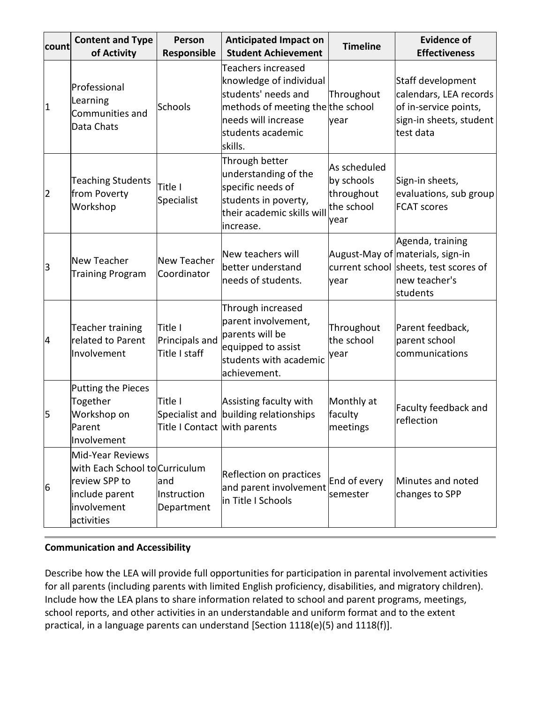| count | <b>Content and Type</b><br>of Activity                                                                             | Person<br>Responsible                                     | <b>Anticipated Impact on</b><br><b>Student Achievement</b>                                                                                                              | <b>Timeline</b>                                                | <b>Evidence of</b><br><b>Effectiveness</b>                                                                                 |
|-------|--------------------------------------------------------------------------------------------------------------------|-----------------------------------------------------------|-------------------------------------------------------------------------------------------------------------------------------------------------------------------------|----------------------------------------------------------------|----------------------------------------------------------------------------------------------------------------------------|
| 1     | Professional<br>Learning<br>Communities and<br>Data Chats                                                          | Schools                                                   | <b>Teachers increased</b><br>knowledge of individual<br>students' needs and<br>methods of meeting the the school<br>needs will increase<br>students academic<br>skills. | Throughout<br>year                                             | Staff development<br>calendars, LEA records<br>of in-service points,<br>sign-in sheets, student<br>ltest data              |
| 2     | <b>Teaching Students</b><br>from Poverty<br>Workshop                                                               | Title I<br>Specialist                                     | Through better<br>understanding of the<br>specific needs of<br>students in poverty,<br>their academic skills will<br>increase.                                          | As scheduled<br>by schools<br>throughout<br>the school<br>year | Sign-in sheets,<br>evaluations, sub group<br><b>FCAT scores</b>                                                            |
| 3     | <b>New Teacher</b><br><b>Training Program</b>                                                                      | <b>New Teacher</b><br>Coordinator                         | New teachers will<br>better understand<br>needs of students.                                                                                                            | year                                                           | Agenda, training<br>August-May of materials, sign-in<br>current school sheets, test scores of<br>new teacher's<br>students |
| 4     | Teacher training<br>related to Parent<br>Involvement                                                               | Title I<br>Principals and<br>Title I staff                | Through increased<br>parent involvement,<br>parents will be<br>equipped to assist<br>students with academic<br>achievement.                                             | Throughout<br>the school<br>year                               | Parent feedback,<br>parent school<br>communications                                                                        |
| 5     | <b>Putting the Pieces</b><br>Together<br>Workshop on<br>Parent<br>Involvement                                      | Title I<br>Specialist and<br>Title I Contact with parents | Assisting faculty with<br>building relationships                                                                                                                        | Monthly at<br>faculty<br>meetings                              | Faculty feedback and<br>reflection                                                                                         |
| 6     | Mid-Year Reviews<br>with Each School to Curriculum<br>review SPP to<br>include parent<br>involvement<br>activities | and<br>Instruction<br>Department                          | Reflection on practices<br>and parent involvement<br>in Title I Schools                                                                                                 | End of every<br>semester                                       | Minutes and noted<br>changes to SPP                                                                                        |

# **Communication and Accessibility**

Describe how the LEA will provide full opportunities for participation in parental involvement activities for all parents (including parents with limited English proficiency, disabilities, and migratory children). Include how the LEA plans to share information related to school and parent programs, meetings, school reports, and other activities in an understandable and uniform format and to the extent practical, in a language parents can understand [Section 1118(e)(5) and 1118(f)].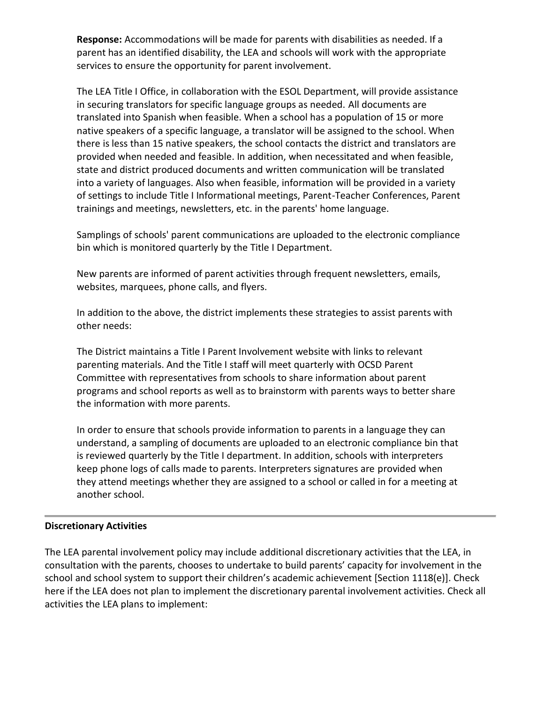**Response:** Accommodations will be made for parents with disabilities as needed. If a parent has an identified disability, the LEA and schools will work with the appropriate services to ensure the opportunity for parent involvement.

The LEA Title I Office, in collaboration with the ESOL Department, will provide assistance in securing translators for specific language groups as needed. All documents are translated into Spanish when feasible. When a school has a population of 15 or more native speakers of a specific language, a translator will be assigned to the school. When there is less than 15 native speakers, the school contacts the district and translators are provided when needed and feasible. In addition, when necessitated and when feasible, state and district produced documents and written communication will be translated into a variety of languages. Also when feasible, information will be provided in a variety of settings to include Title I Informational meetings, Parent-Teacher Conferences, Parent trainings and meetings, newsletters, etc. in the parents' home language.

Samplings of schools' parent communications are uploaded to the electronic compliance bin which is monitored quarterly by the Title I Department.

New parents are informed of parent activities through frequent newsletters, emails, websites, marquees, phone calls, and flyers.

In addition to the above, the district implements these strategies to assist parents with other needs:

The District maintains a Title I Parent Involvement website with links to relevant parenting materials. And the Title I staff will meet quarterly with OCSD Parent Committee with representatives from schools to share information about parent programs and school reports as well as to brainstorm with parents ways to better share the information with more parents.

In order to ensure that schools provide information to parents in a language they can understand, a sampling of documents are uploaded to an electronic compliance bin that is reviewed quarterly by the Title I department. In addition, schools with interpreters keep phone logs of calls made to parents. Interpreters signatures are provided when they attend meetings whether they are assigned to a school or called in for a meeting at another school.

### **Discretionary Activities**

The LEA parental involvement policy may include additional discretionary activities that the LEA, in consultation with the parents, chooses to undertake to build parents' capacity for involvement in the school and school system to support their children's academic achievement  $[Section 1118(e)].$  Check here if the LEA does not plan to implement the discretionary parental involvement activities. Check all activities the LEA plans to implement: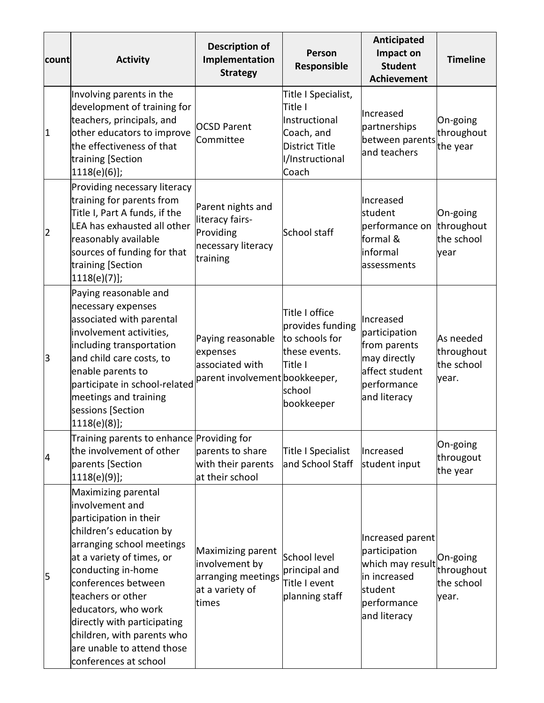| count          | <b>Activity</b>                                                                                                                                                                                                                                                                                                                                                    | <b>Description of</b><br>Implementation<br><b>Strategy</b>                            | Person<br>Responsible                                                                                       | Anticipated<br>Impact on<br><b>Student</b><br><b>Achievement</b>                                                | <b>Timeline</b>                                |
|----------------|--------------------------------------------------------------------------------------------------------------------------------------------------------------------------------------------------------------------------------------------------------------------------------------------------------------------------------------------------------------------|---------------------------------------------------------------------------------------|-------------------------------------------------------------------------------------------------------------|-----------------------------------------------------------------------------------------------------------------|------------------------------------------------|
| $\vert$ 1      | Involving parents in the<br>development of training for<br>teachers, principals, and<br>other educators to improve<br>the effectiveness of that<br>training [Section<br>[1118(e)(6)];                                                                                                                                                                              | <b>OCSD Parent</b><br>Committee                                                       | Title I Specialist,<br>Title I<br>Instructional<br>Coach, and<br>District Title<br>I/Instructional<br>Coach | Increased<br>partnerships<br>between parents<br>and teachers                                                    | On-going<br>throughout<br>the year             |
| $\overline{2}$ | Providing necessary literacy<br>training for parents from<br>Title I, Part A funds, if the<br>LEA has exhausted all other<br>reasonably available<br>sources of funding for that<br>training [Section<br>[1118(e)(7)];                                                                                                                                             | Parent nights and<br>literacy fairs-<br>Providing<br>necessary literacy<br>training   | School staff                                                                                                | Increased<br>student<br>performance on<br>formal &<br>informal<br>assessments                                   | On-going<br>throughout<br>the school<br>year   |
| 3              | Paying reasonable and<br>necessary expenses<br>associated with parental<br>involvement activities,<br>including transportation<br>and child care costs, to<br>enable parents to<br>participate in school-related<br>meetings and training<br>sessions [Section<br>$1118(e)(8)$ ;                                                                                   | Paying reasonable<br>expenses<br>associated with<br>parent involvement bookkeeper,    | Title I office<br>provides funding<br>to schools for<br>these events.<br>Title I<br>school<br>bookkeeper    | Increased<br>participation<br>from parents<br>may directly<br>affect student<br>performance<br>and literacy     | As needed<br>throughout<br>the school<br>year. |
| 4              | Training parents to enhance Providing for<br>the involvement of other<br>parents [Section<br>$1118(e)(9)$ ;                                                                                                                                                                                                                                                        | parents to share<br>with their parents<br>at their school                             | Title I Specialist<br>and School Staff                                                                      | Increased<br>student input                                                                                      | On-going<br>througout<br>the year              |
| 5              | Maximizing parental<br>involvement and<br>participation in their<br>children's education by<br>arranging school meetings<br>at a variety of times, or<br>conducting in-home<br>conferences between<br>teachers or other<br>educators, who work<br>directly with participating<br>children, with parents who<br>are unable to attend those<br>conferences at school | Maximizing parent<br>involvement by<br>arranging meetings<br>at a variety of<br>times | School level<br>principal and<br>Title I event<br>planning staff                                            | Increased parent<br>participation<br>which may result<br>in increased<br>student<br>performance<br>and literacy | On-going<br>throughout<br>the school<br>year.  |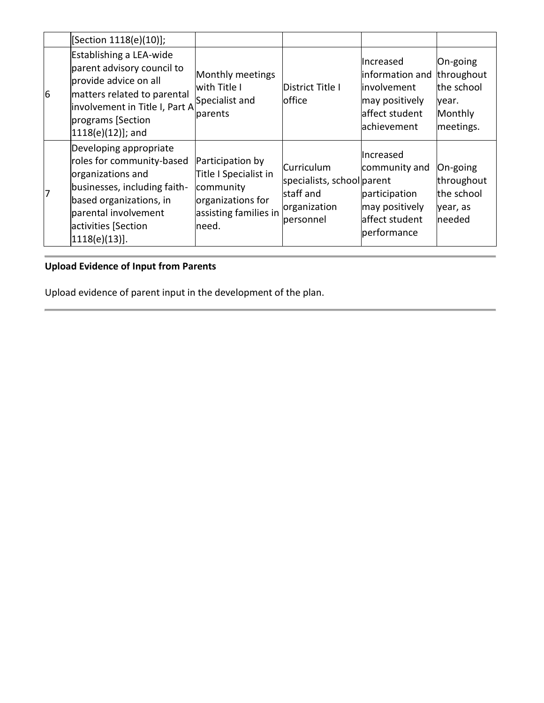|                 | [Section 1118(e)(10)];                                                                                                                                                                                 |                                                                                                               |                                                                                    |                                                                                                |                                                                       |
|-----------------|--------------------------------------------------------------------------------------------------------------------------------------------------------------------------------------------------------|---------------------------------------------------------------------------------------------------------------|------------------------------------------------------------------------------------|------------------------------------------------------------------------------------------------|-----------------------------------------------------------------------|
| $6\overline{6}$ | Establishing a LEA-wide<br>parent advisory council to<br>provide advice on all<br>matters related to parental<br>involvement in Title I, Part A<br>programs [Section<br>$1118(e)(12)]$ ; and           | Monthly meetings<br>with Title I<br>Specialist and<br>parents                                                 | District Title I<br><b>office</b>                                                  | Increased<br>information and<br>involvement<br>may positively<br>affect student<br>achievement | On-going<br>throughout<br>the school<br>year.<br>Monthly<br>meetings. |
| 7               | Developing appropriate<br>roles for community-based<br>organizations and<br>businesses, including faith-<br>based organizations, in<br>parental involvement<br>activities [Section<br>$1118(e)(13)$ ]. | Participation by<br>Title I Specialist in<br>community<br>organizations for<br>assisting families in<br>need. | Curriculum<br>specialists, school parent<br>staff and<br>organization<br>personnel | Increased<br>community and<br>participation<br>may positively<br>affect student<br>performance | On-going<br>throughout<br>the school<br>year, as<br>needed            |

# **Upload Evidence of Input from Parents**

Upload evidence of parent input in the development of the plan.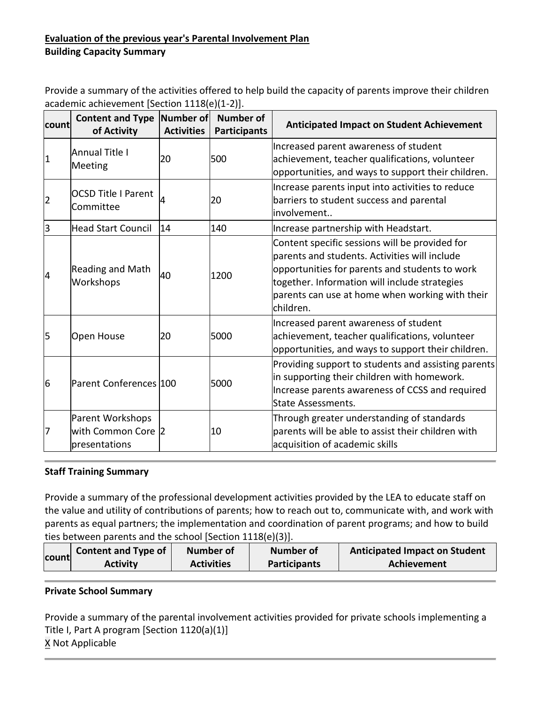# **Evaluation of the previous year's Parental Involvement Plan Building Capacity Summary**

Provide a summary of the activities offered to help build the capacity of parents improve their children academic achievement [Section 1118(e)(1-2)].

| count          | <b>Content and Type</b><br>of Activity                  | Number of<br><b>Activities</b> | <b>Number of</b><br><b>Participants</b> | <b>Anticipated Impact on Student Achievement</b>                                                                                                                                                                                                                   |
|----------------|---------------------------------------------------------|--------------------------------|-----------------------------------------|--------------------------------------------------------------------------------------------------------------------------------------------------------------------------------------------------------------------------------------------------------------------|
| $\vert$ 1      | <b>Annual Title I</b><br>Meeting                        | 20                             | 500                                     | Increased parent awareness of student<br>achievement, teacher qualifications, volunteer<br>opportunities, and ways to support their children.                                                                                                                      |
| $\overline{2}$ | <b>OCSD Title I Parent</b><br>Committee                 | 4                              | 20                                      | Increase parents input into activities to reduce<br>barriers to student success and parental<br>involvement                                                                                                                                                        |
| 3              | Head Start Council                                      | 14                             | 140                                     | Increase partnership with Headstart.                                                                                                                                                                                                                               |
| 4              | Reading and Math<br>Workshops                           | 40                             | 1200                                    | Content specific sessions will be provided for<br>parents and students. Activities will include<br>opportunities for parents and students to work<br>together. Information will include strategies<br>parents can use at home when working with their<br>children. |
| 5              | Open House                                              | 20                             | 5000                                    | Increased parent awareness of student<br>achievement, teacher qualifications, volunteer<br>opportunities, and ways to support their children.                                                                                                                      |
| 6              | Parent Conferences 100                                  |                                | 5000                                    | Providing support to students and assisting parents<br>in supporting their children with homework.<br>Increase parents awareness of CCSS and required<br><b>State Assessments.</b>                                                                                 |
| 7              | Parent Workshops<br>with Common Core 2<br>presentations |                                | 10                                      | Through greater understanding of standards<br>parents will be able to assist their children with<br>acquisition of academic skills                                                                                                                                 |

# **Staff Training Summary**

Provide a summary of the professional development activities provided by the LEA to educate staff on the value and utility of contributions of parents; how to reach out to, communicate with, and work with parents as equal partners; the implementation and coordination of parent programs; and how to build ties between parents and the school [Section 1118(e)(3)].

|       | <b>Content and Type of</b> | <b>Number of</b>  | Number of           | <b>Anticipated Impact on Student</b> |
|-------|----------------------------|-------------------|---------------------|--------------------------------------|
| count | <b>Activity</b>            | <b>Activities</b> | <b>Participants</b> | Achievement                          |

# **Private School Summary**

Provide a summary of the parental involvement activities provided for private schools implementing a Title I, Part A program [Section 1120(a)(1)] X Not Applicable